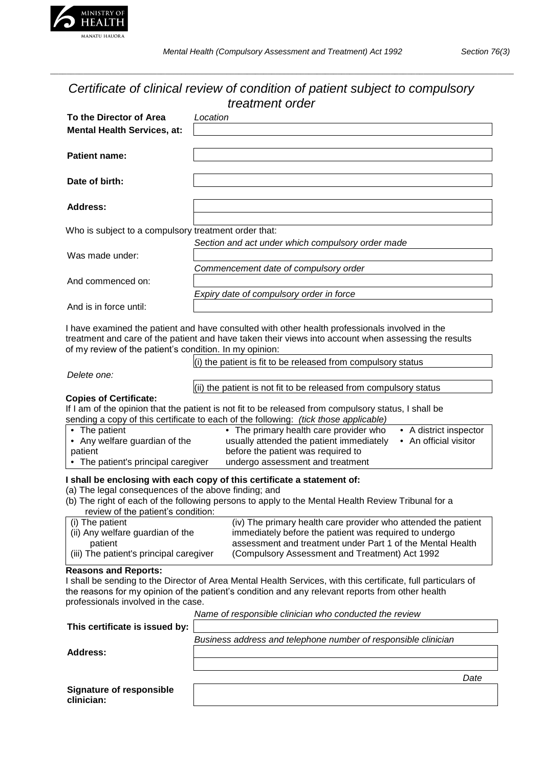

**clinician:**

*\_\_\_\_\_\_\_\_\_\_\_\_\_\_\_\_\_\_\_\_\_\_\_\_\_\_\_\_\_\_\_\_\_\_\_\_\_\_\_\_\_\_\_\_\_\_\_\_\_\_\_\_\_\_\_\_\_\_\_\_\_\_\_\_\_\_\_\_\_\_\_\_\_\_\_\_\_\_\_\_\_\_\_\_\_\_\_\_\_\_\_\_\_\_\_\_\_\_\_\_\_\_\_\_\_\_\_\_\_\_\_\_\_*

# *Certificate of clinical review of condition of patient subject to compulsory*

| treatment order                                         |                                                                                                                                                                                                        |
|---------------------------------------------------------|--------------------------------------------------------------------------------------------------------------------------------------------------------------------------------------------------------|
| To the Director of Area                                 | Location                                                                                                                                                                                               |
| <b>Mental Health Services, at:</b>                      |                                                                                                                                                                                                        |
|                                                         |                                                                                                                                                                                                        |
| <b>Patient name:</b>                                    |                                                                                                                                                                                                        |
|                                                         |                                                                                                                                                                                                        |
| Date of birth:                                          |                                                                                                                                                                                                        |
|                                                         |                                                                                                                                                                                                        |
| <b>Address:</b>                                         |                                                                                                                                                                                                        |
| Who is subject to a compulsory treatment order that:    |                                                                                                                                                                                                        |
|                                                         | Section and act under which compulsory order made                                                                                                                                                      |
| Was made under:                                         |                                                                                                                                                                                                        |
|                                                         | Commencement date of compulsory order                                                                                                                                                                  |
| And commenced on:                                       |                                                                                                                                                                                                        |
|                                                         | Expiry date of compulsory order in force                                                                                                                                                               |
| And is in force until:                                  |                                                                                                                                                                                                        |
|                                                         |                                                                                                                                                                                                        |
|                                                         | I have examined the patient and have consulted with other health professionals involved in the<br>treatment and care of the patient and have taken their views into account when assessing the results |
| of my review of the patient's condition. In my opinion: |                                                                                                                                                                                                        |
|                                                         | $(i)$ the patient is fit to be released from compulsory status                                                                                                                                         |
| Delete one:                                             |                                                                                                                                                                                                        |
|                                                         | (ii) the patient is not fit to be released from compulsory status                                                                                                                                      |
| <b>Copies of Certificate:</b>                           |                                                                                                                                                                                                        |
|                                                         | If I am of the opinion that the patient is not fit to be released from compulsory status, I shall be                                                                                                   |
| • The patient                                           | sending a copy of this certificate to each of the following: (tick those applicable)<br>• The primary health care provider who<br>• A district inspector                                               |
| • Any welfare guardian of the                           | usually attended the patient immediately<br>• An official visitor                                                                                                                                      |
| patient                                                 | before the patient was required to                                                                                                                                                                     |
| • The patient's principal caregiver                     | undergo assessment and treatment                                                                                                                                                                       |
|                                                         | I shall be enclosing with each copy of this certificate a statement of:                                                                                                                                |
| (a) The legal consequences of the above finding; and    |                                                                                                                                                                                                        |
|                                                         | (b) The right of each of the following persons to apply to the Mental Health Review Tribunal for a                                                                                                     |
| review of the patient's condition:<br>(i) The patient   | (iv) The primary health care provider who attended the patient                                                                                                                                         |
| (ii) Any welfare guardian of the                        | immediately before the patient was required to undergo                                                                                                                                                 |
| patient                                                 | assessment and treatment under Part 1 of the Mental Health                                                                                                                                             |
| (iii) The patient's principal caregiver                 | (Compulsory Assessment and Treatment) Act 1992                                                                                                                                                         |
| <b>Reasons and Reports:</b>                             |                                                                                                                                                                                                        |
|                                                         | I shall be sending to the Director of Area Mental Health Services, with this certificate, full particulars of                                                                                          |
| professionals involved in the case.                     | the reasons for my opinion of the patient's condition and any relevant reports from other health                                                                                                       |
|                                                         | Name of responsible clinician who conducted the review                                                                                                                                                 |
| This certificate is issued by:                          |                                                                                                                                                                                                        |
|                                                         | Business address and telephone number of responsible clinician                                                                                                                                         |
| <b>Address:</b>                                         |                                                                                                                                                                                                        |
|                                                         |                                                                                                                                                                                                        |
|                                                         | Date                                                                                                                                                                                                   |
| <b>Signature of responsible</b>                         |                                                                                                                                                                                                        |